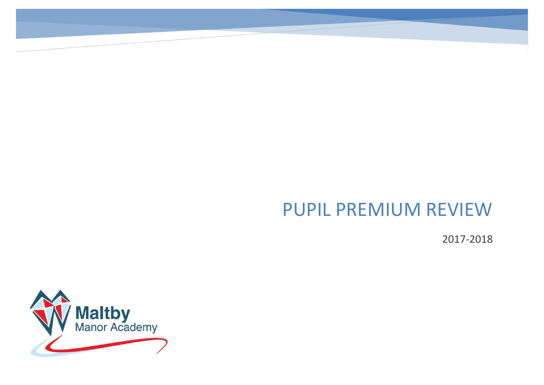# PUPIL PREMIUM REVIEW

2017-2018

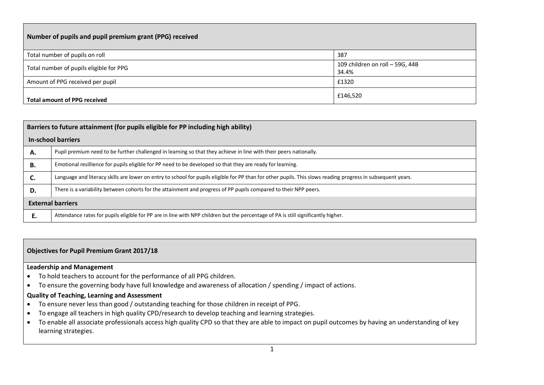| Number of pupils and pupil premium grant (PPG) received |                                          |  |  |  |  |  |  |
|---------------------------------------------------------|------------------------------------------|--|--|--|--|--|--|
| Total number of pupils on roll                          | 387                                      |  |  |  |  |  |  |
| Total number of pupils eligible for PPG                 | 109 children on roll - 59G, 44B<br>34.4% |  |  |  |  |  |  |
| Amount of PPG received per pupil                        | £1320                                    |  |  |  |  |  |  |
| £146,520<br><b>Total amount of PPG received</b>         |                                          |  |  |  |  |  |  |

|    | Barriers to future attainment (for pupils eligible for PP including high ability)                                                                            |  |  |  |  |  |  |
|----|--------------------------------------------------------------------------------------------------------------------------------------------------------------|--|--|--|--|--|--|
|    | In-school barriers                                                                                                                                           |  |  |  |  |  |  |
| А. | Pupil premium need to be further challenged in learning so that they achieve in line with their peers nationally.                                            |  |  |  |  |  |  |
| В. | Emotional resillience for pupils eligible for PP need to be developed so that they are ready for learning.                                                   |  |  |  |  |  |  |
| С. | Language and literacy skills are lower on entry to school for pupils eligible for PP than for other pupils. This slows reading progress in subsequent years. |  |  |  |  |  |  |
| D. | There is a variability between cohorts for the attainment and progress of PP pupils compared to their NPP peers.                                             |  |  |  |  |  |  |
|    | <b>External barriers</b>                                                                                                                                     |  |  |  |  |  |  |
| Е. | Attendance rates for pupils eligible for PP are in line with NPP children but the percentage of PA is still significantly higher.                            |  |  |  |  |  |  |

#### **Objectives for Pupil Premium Grant 2017/18**

#### **Leadership and Management**

- To hold teachers to account for the performance of all PPG children.
- To ensure the governing body have full knowledge and awareness of allocation / spending / impact of actions.

#### **Quality of Teaching, Learning and Assessment**

- To ensure never less than good / outstanding teaching for those children in receipt of PPG.
- To engage all teachers in high quality CPD/research to develop teaching and learning strategies.
- To enable all associate professionals access high quality CPD so that they are able to impact on pupil outcomes by having an understanding of key learning strategies.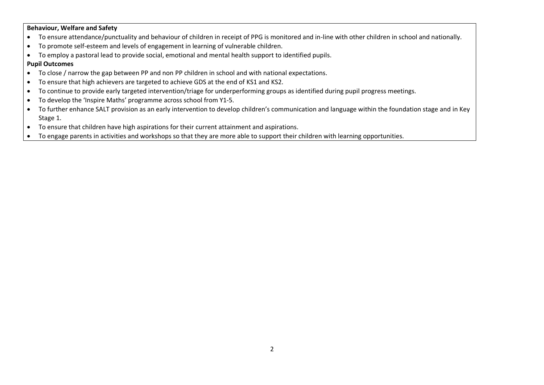#### **Behaviour, Welfare and Safety**

- To ensure attendance/punctuality and behaviour of children in receipt of PPG is monitored and in-line with other children in school and nationally.
- To promote self-esteem and levels of engagement in learning of vulnerable children.
- To employ a pastoral lead to provide social, emotional and mental health support to identified pupils.

#### **Pupil Outcomes**

- To close / narrow the gap between PP and non PP children in school and with national expectations.
- To ensure that high achievers are targeted to achieve GDS at the end of KS1 and KS2.
- To continue to provide early targeted intervention/triage for underperforming groups as identified during pupil progress meetings.
- To develop the 'Inspire Maths' programme across school from Y1-5.
- To further enhance SALT provision as an early intervention to develop children's communication and language within the foundation stage and in Key Stage 1.
- To ensure that children have high aspirations for their current attainment and aspirations.
- To engage parents in activities and workshops so that they are more able to support their children with learning opportunities.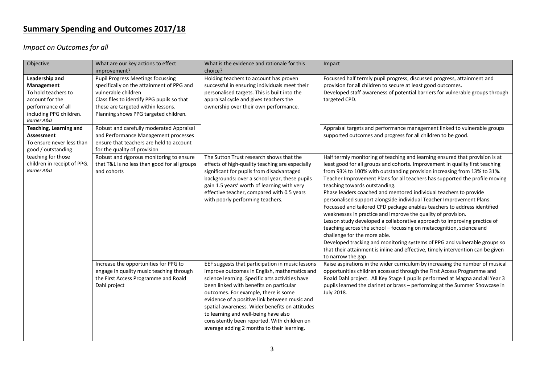# **Summary Spending and Outcomes 2017/18**

*Impact on Outcomes for all*

| Objective                                                                                                                              | What are our key actions to effect<br>improvement?                                                                                                                                                                                        | What is the evidence and rationale for this<br>choice?                                                                                                                                                                                                                                                                                                                                                                                                                          | Impact                                                                                                                                                                                                                                                                                                                                                                                                                                                                                                                                                                                                                                                                                                                                                                                                                                                                                                                                                                                                                     |
|----------------------------------------------------------------------------------------------------------------------------------------|-------------------------------------------------------------------------------------------------------------------------------------------------------------------------------------------------------------------------------------------|---------------------------------------------------------------------------------------------------------------------------------------------------------------------------------------------------------------------------------------------------------------------------------------------------------------------------------------------------------------------------------------------------------------------------------------------------------------------------------|----------------------------------------------------------------------------------------------------------------------------------------------------------------------------------------------------------------------------------------------------------------------------------------------------------------------------------------------------------------------------------------------------------------------------------------------------------------------------------------------------------------------------------------------------------------------------------------------------------------------------------------------------------------------------------------------------------------------------------------------------------------------------------------------------------------------------------------------------------------------------------------------------------------------------------------------------------------------------------------------------------------------------|
| Leadership and<br>Management<br>To hold teachers to<br>account for the<br>performance of all<br>including PPG children.<br>Barrier A&D | <b>Pupil Progress Meetings focussing</b><br>specifically on the attainment of PPG and<br>vulnerable children<br>Class files to identify PPG pupils so that<br>these are targeted within lessons.<br>Planning shows PPG targeted children. | Holding teachers to account has proven<br>successful in ensuring individuals meet their<br>personalised targets. This is built into the<br>appraisal cycle and gives teachers the<br>ownership over their own performance.                                                                                                                                                                                                                                                      | Focussed half termly pupil progress, discussed progress, attainment and<br>provision for all children to secure at least good outcomes.<br>Developed staff awareness of potential barriers for vulnerable groups through<br>targeted CPD.                                                                                                                                                                                                                                                                                                                                                                                                                                                                                                                                                                                                                                                                                                                                                                                  |
| <b>Teaching, Learning and</b><br>Assessment<br>To ensure never less than<br>good / outstanding                                         | Robust and carefully moderated Appraisal<br>and Performance Management processes<br>ensure that teachers are held to account<br>for the quality of provision                                                                              |                                                                                                                                                                                                                                                                                                                                                                                                                                                                                 | Appraisal targets and performance management linked to vulnerable groups<br>supported outcomes and progress for all children to be good.                                                                                                                                                                                                                                                                                                                                                                                                                                                                                                                                                                                                                                                                                                                                                                                                                                                                                   |
| teaching for those<br>children in receipt of PPG.<br>Barrier A&D                                                                       | Robust and rigorous monitoring to ensure<br>that T&L is no less than good for all groups<br>and cohorts                                                                                                                                   | The Sutton Trust research shows that the<br>effects of high-quality teaching are especially<br>significant for pupils from disadvantaged<br>backgrounds: over a school year, these pupils<br>gain 1.5 years' worth of learning with very<br>effective teacher, compared with 0.5 years<br>with poorly performing teachers.                                                                                                                                                      | Half termly monitoring of teaching and learning ensured that provision is at<br>least good for all groups and cohorts. Improvement in quality first teaching<br>from 93% to 100% with outstanding provision increasing from 13% to 31%.<br>Teacher Improvement Plans for all teachers has supported the profile moving<br>teaching towards outstanding.<br>Phase leaders coached and mentored individual teachers to provide<br>personalised support alongside individual Teacher Improvement Plans.<br>Focussed and tailored CPD package enables teachers to address identified<br>weaknesses in practice and improve the quality of provision.<br>Lesson study developed a collaborative approach to improving practice of<br>teaching across the school - focussing on metacognition, science and<br>challenge for the more able.<br>Developed tracking and monitoring systems of PPG and vulnerable groups so<br>that their attainment is inline and effective, timely intervention can be given<br>to narrow the gap. |
|                                                                                                                                        | Increase the opportunities for PPG to<br>engage in quality music teaching through<br>the First Access Programme and Roald<br>Dahl project                                                                                                 | EEF suggests that participation in music lessons<br>improve outcomes in English, mathematics and<br>science learning. Specific arts activities have<br>been linked with benefits on particular<br>outcomes. For example, there is some<br>evidence of a positive link between music and<br>spatial awareness. Wider benefits on attitudes<br>to learning and well-being have also<br>consistently been reported. With children on<br>average adding 2 months to their learning. | Raise aspirations in the wider curriculum by increasing the number of musical<br>opportunities children accessed through the First Access Programme and<br>Roald Dahl project. All Key Stage 1 pupils performed at Magna and all Year 3<br>pupils learned the clarinet or brass - performing at the Summer Showcase in<br>July 2018.                                                                                                                                                                                                                                                                                                                                                                                                                                                                                                                                                                                                                                                                                       |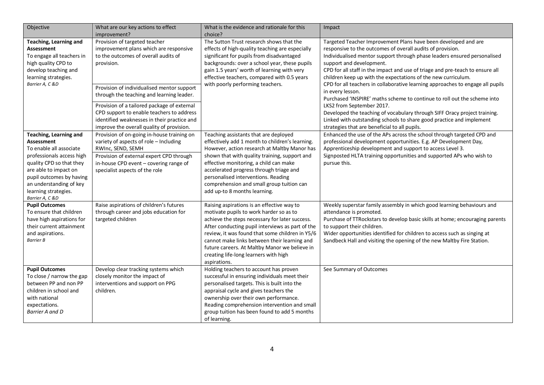| Objective                                                                                                                                                                                                                                                         | What are our key actions to effect<br>improvement?                                                                                                                                                                                | What is the evidence and rationale for this<br>choice?                                                                                                                                                                                                                                                                                                                                                   | Impact                                                                                                                                                                                                                                                                                                                                                                                 |  |  |
|-------------------------------------------------------------------------------------------------------------------------------------------------------------------------------------------------------------------------------------------------------------------|-----------------------------------------------------------------------------------------------------------------------------------------------------------------------------------------------------------------------------------|----------------------------------------------------------------------------------------------------------------------------------------------------------------------------------------------------------------------------------------------------------------------------------------------------------------------------------------------------------------------------------------------------------|----------------------------------------------------------------------------------------------------------------------------------------------------------------------------------------------------------------------------------------------------------------------------------------------------------------------------------------------------------------------------------------|--|--|
| Teaching, Learning and<br><b>Assessment</b><br>To engage all teachers in<br>high quality CPD to<br>develop teaching and<br>learning strategies.<br>Barrier A, C &D                                                                                                | Provision of targeted teacher<br>improvement plans which are responsive<br>to the outcomes of overall audits of<br>provision.                                                                                                     | The Sutton Trust research shows that the<br>effects of high-quality teaching are especially<br>significant for pupils from disadvantaged<br>backgrounds: over a school year, these pupils<br>gain 1.5 years' worth of learning with very<br>effective teachers, compared with 0.5 years<br>with poorly performing teachers.                                                                              | Targeted Teacher Improvement Plans have been developed and are<br>responsive to the outcomes of overall audits of provision.<br>Individualised mentor support through phase leaders ensured personalised<br>support and development.<br>CPD for all staff in the impact and use of triage and pre-teach to ensure all<br>children keep up with the expectations of the new curriculum. |  |  |
|                                                                                                                                                                                                                                                                   | Provision of individualised mentor support<br>through the teaching and learning leader.                                                                                                                                           |                                                                                                                                                                                                                                                                                                                                                                                                          | CPD for all teachers in collaborative learning approaches to engage all pupils<br>in every lesson.<br>Purchased 'INSPIRE' maths scheme to continue to roll out the scheme into                                                                                                                                                                                                         |  |  |
|                                                                                                                                                                                                                                                                   | Provision of a tailored package of external<br>CPD support to enable teachers to address<br>identified weaknesses in their practice and<br>improve the overall quality of provision.                                              |                                                                                                                                                                                                                                                                                                                                                                                                          | LKS2 from September 2017.<br>Developed the teaching of vocabulary through SIFF Oracy project training.<br>Linked with outstanding schools to share good practice and implement<br>strategies that are beneficial to all pupils.                                                                                                                                                        |  |  |
| <b>Teaching, Learning and</b><br><b>Assessment</b><br>To enable all associate<br>professionals access high<br>quality CPD so that they<br>are able to impact on<br>pupil outcomes by having<br>an understanding of key<br>learning strategies.<br>Barrier A, C &D | Provision of on-going in-house training on<br>variety of aspects of role - Including<br>RWInc, SEND, SEMH<br>Provision of external expert CPD through<br>in-house CPD event - covering range of<br>specialist aspects of the role | Teaching assistants that are deployed<br>effectively add 1 month to children's learning.<br>However, action research at Maltby Manor has<br>shown that with quality training, support and<br>effective monitoring, a child can make<br>accelerated progress through triage and<br>personalised interventions. Reading<br>comprehension and small group tuition can<br>add up-to 8 months learning.       | Enhanced the use of the APs across the school through targeted CPD and<br>professional development opportunities. E.g. AP Development Day,<br>Apprenticeship development and support to access Level 3.<br>Signposted HLTA training opportunities and supported APs who wish to<br>pursue this.                                                                                        |  |  |
| <b>Pupil Outcomes</b><br>To ensure that children<br>have high aspirations for<br>their current attainment<br>and aspirations.<br><b>Barrier B</b>                                                                                                                 | Raise aspirations of children's futures<br>through career and jobs education for<br>targeted children                                                                                                                             | Raising aspirations is an effective way to<br>motivate pupils to work harder so as to<br>achieve the steps necessary for later success.<br>After conducting pupil interviews as part of the<br>review, it was found that some children in Y5/6<br>cannot make links between their learning and<br>future careers. At Maltby Manor we believe in<br>creating life-long learners with high<br>aspirations. | Weekly superstar family assembly in which good learning behaviours and<br>attendance is promoted.<br>Purchase of TTRockstars to develop basic skills at home; encouraging parents<br>to support their children.<br>Wider opportunities identified for children to access such as singing at<br>Sandbeck Hall and visiting the opening of the new Maltby Fire Station.                  |  |  |
| <b>Pupil Outcomes</b><br>To close / narrow the gap<br>between PP and non PP<br>children in school and<br>with national<br>expectations.<br>Barrier A and D                                                                                                        | Develop clear tracking systems which<br>closely monitor the impact of<br>interventions and support on PPG<br>children.                                                                                                            | Holding teachers to account has proven<br>successful in ensuring individuals meet their<br>personalised targets. This is built into the<br>appraisal cycle and gives teachers the<br>ownership over their own performance.<br>Reading comprehension intervention and small<br>group tuition has been found to add 5 months<br>of learning.                                                               | See Summary of Outcomes                                                                                                                                                                                                                                                                                                                                                                |  |  |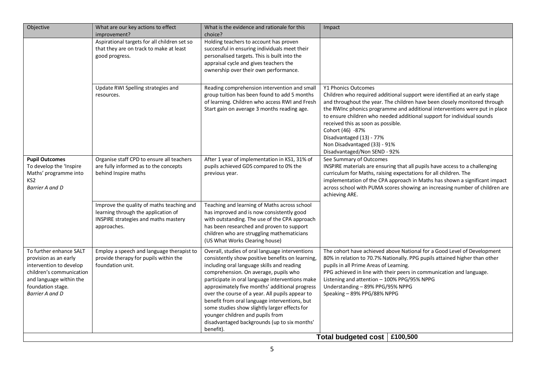| Objective                                                                                                                                                                         | What are our key actions to effect<br>improvement?                                                                                      | What is the evidence and rationale for this<br>choice?                                                                                                                                                                                                                                                                                                                                                                                                                                                                                                | Impact                                                                                                                                                                                                                                                                                                                                                                                                                                                                                       |
|-----------------------------------------------------------------------------------------------------------------------------------------------------------------------------------|-----------------------------------------------------------------------------------------------------------------------------------------|-------------------------------------------------------------------------------------------------------------------------------------------------------------------------------------------------------------------------------------------------------------------------------------------------------------------------------------------------------------------------------------------------------------------------------------------------------------------------------------------------------------------------------------------------------|----------------------------------------------------------------------------------------------------------------------------------------------------------------------------------------------------------------------------------------------------------------------------------------------------------------------------------------------------------------------------------------------------------------------------------------------------------------------------------------------|
|                                                                                                                                                                                   | Aspirational targets for all children set so<br>that they are on track to make at least<br>good progress.                               | Holding teachers to account has proven<br>successful in ensuring individuals meet their<br>personalised targets. This is built into the<br>appraisal cycle and gives teachers the<br>ownership over their own performance.                                                                                                                                                                                                                                                                                                                            |                                                                                                                                                                                                                                                                                                                                                                                                                                                                                              |
|                                                                                                                                                                                   | Update RWI Spelling strategies and<br>resources.                                                                                        | Reading comprehension intervention and small<br>group tuition has been found to add 5 months<br>of learning. Children who access RWI and Fresh<br>Start gain on average 3 months reading age.                                                                                                                                                                                                                                                                                                                                                         | Y1 Phonics Outcomes<br>Children who required additional support were identified at an early stage<br>and throughout the year. The children have been closely monitored through<br>the RWInc phonics programme and additional interventions were put in place<br>to ensure children who needed additional support for individual sounds<br>received this as soon as possible.<br>Cohort (46) -87%<br>Disadvantaged (13) - 77%<br>Non Disadvantaged (33) - 91%<br>Disadvantaged/Non SEND - 92% |
| <b>Pupil Outcomes</b><br>To develop the 'Inspire<br>Maths' programme into<br>KS2<br><b>Barrier A and D</b>                                                                        | Organise staff CPD to ensure all teachers<br>are fully informed as to the concepts<br>behind Inspire maths                              | After 1 year of implementation in KS1, 31% of<br>pupils achieved GDS compared to 0% the<br>previous year.                                                                                                                                                                                                                                                                                                                                                                                                                                             | See Summary of Outcomes<br>INSPIRE materials are ensuring that all pupils have access to a challenging<br>curriculum for Maths, raising expectations for all children. The<br>implementation of the CPA approach in Maths has shown a significant impact<br>across school with PUMA scores showing an increasing number of children are<br>achieving ARE.                                                                                                                                    |
|                                                                                                                                                                                   | Improve the quality of maths teaching and<br>learning through the application of<br>INSPIRE strategies and maths mastery<br>approaches. | Teaching and learning of Maths across school<br>has improved and is now consistently good<br>with outstanding. The use of the CPA approach<br>has been researched and proven to support<br>children who are struggling mathematicians<br>(US What Works Clearing house)                                                                                                                                                                                                                                                                               |                                                                                                                                                                                                                                                                                                                                                                                                                                                                                              |
| To further enhance SALT<br>provision as an early<br>intervention to develop<br>children's communication<br>and language within the<br>foundation stage.<br><b>Barrier A and D</b> | Employ a speech and language therapist to<br>provide therapy for pupils within the<br>foundation unit.                                  | Overall, studies of oral language interventions<br>consistently show positive benefits on learning,<br>including oral language skills and reading<br>comprehension. On average, pupils who<br>participate in oral language interventions make<br>approximately five months' additional progress<br>over the course of a year. All pupils appear to<br>benefit from oral language interventions, but<br>some studies show slightly larger effects for<br>younger children and pupils from<br>disadvantaged backgrounds (up to six months'<br>benefit). | The cohort have achieved above National for a Good Level of Development<br>80% in relation to 70.7% Nationally. PPG pupils attained higher than other<br>pupils in all Prime Areas of Learning.<br>PPG achieved in line with their peers in communication and language.<br>Listening and attention - 100% PPG/95% NPPG<br>Understanding - 89% PPG/95% NPPG<br>Speaking - 89% PPG/88% NPPG                                                                                                    |
|                                                                                                                                                                                   |                                                                                                                                         |                                                                                                                                                                                                                                                                                                                                                                                                                                                                                                                                                       | Total budgeted cost   £100,500                                                                                                                                                                                                                                                                                                                                                                                                                                                               |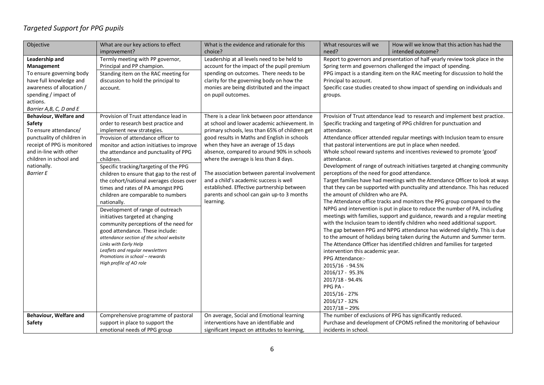## *Targeted Support for PPG pupils*

| Objective                   | What are our key actions to effect                                 | What is the evidence and rationale for this    | What resources will we                                                                                                                                                                   | How will we know that this action has had the                                 |  |
|-----------------------------|--------------------------------------------------------------------|------------------------------------------------|------------------------------------------------------------------------------------------------------------------------------------------------------------------------------------------|-------------------------------------------------------------------------------|--|
|                             | improvement?                                                       | choice?                                        | need?<br>intended outcome?                                                                                                                                                               |                                                                               |  |
| Leadership and              | Termly meeting with PP governor,                                   | Leadership at all levels need to be held to    |                                                                                                                                                                                          | Report to governors and presentation of half-yearly review took place in the  |  |
| Management                  | Principal and PP champion.                                         | account for the impact of the pupil premium    |                                                                                                                                                                                          | Spring term and governors challenged the impact of spending.                  |  |
| To ensure governing body    | Standing item on the RAC meeting for                               | spending on outcomes. There needs to be        |                                                                                                                                                                                          | PPG impact is a standing item on the RAC meeting for discussion to hold the   |  |
| have full knowledge and     | discussion to hold the principal to                                | clarity for the governing body on how the      | Principal to account.                                                                                                                                                                    |                                                                               |  |
| awareness of allocation /   | account.                                                           | monies are being distributed and the impact    |                                                                                                                                                                                          | Specific case studies created to show impact of spending on individuals and   |  |
| spending / impact of        |                                                                    | on pupil outcomes.                             | groups.                                                                                                                                                                                  |                                                                               |  |
| actions.                    |                                                                    |                                                |                                                                                                                                                                                          |                                                                               |  |
| Barrier A,B, C, D and E     |                                                                    |                                                |                                                                                                                                                                                          |                                                                               |  |
| Behaviour, Welfare and      | Provision of Trust attendance lead in                              | There is a clear link between poor attendance  |                                                                                                                                                                                          | Provision of Trust attendance lead to research and implement best practice.   |  |
| Safety                      | order to research best practice and                                | at school and lower academic achievement. In   |                                                                                                                                                                                          | Specific tracking and targeting of PPG children for punctuation and           |  |
| To ensure attendance/       | implement new strategies.                                          | primary schools, less than 65% of children get | attendance.                                                                                                                                                                              |                                                                               |  |
| punctuality of children in  | Provision of attendance officer to                                 | good results in Maths and English in schools   |                                                                                                                                                                                          | Attendance officer attended regular meetings with Inclusion team to ensure    |  |
| receipt of PPG is monitored | monitor and action initiatives to improve                          | when they have an average of 15 days           |                                                                                                                                                                                          | that pastoral interventions are put in place when needed.                     |  |
| and in-line with other      | the attendance and punctuality of PPG                              | absence, compared to around 90% in schools     |                                                                                                                                                                                          | Whole school reward systems and incentives reviewed to promote 'good'         |  |
| children in school and      | children.                                                          | where the average is less than 8 days.         | attendance.                                                                                                                                                                              |                                                                               |  |
| nationally.                 | Specific tracking/targeting of the PPG                             |                                                |                                                                                                                                                                                          | Development of range of outreach initiatives targeted at changing community   |  |
| <b>Barrier E</b>            | children to ensure that gap to the rest of                         | The association between parental involvement   | perceptions of the need for good attendance.                                                                                                                                             |                                                                               |  |
|                             | the cohort/national averages closes over                           | and a child's academic success is well         |                                                                                                                                                                                          | Target families have had meetings with the Attendance Officer to look at ways |  |
|                             | times and rates of PA amongst PPG                                  | established. Effective partnership between     |                                                                                                                                                                                          | that they can be supported with punctuality and attendance. This has reduced  |  |
|                             | children are comparable to numbers                                 | parents and school can gain up-to 3 months     | the amount of children who are PA.                                                                                                                                                       |                                                                               |  |
|                             | nationally.                                                        | learning.                                      | The Attendance office tracks and monitors the PPG group compared to the                                                                                                                  |                                                                               |  |
|                             | Development of range of outreach                                   |                                                |                                                                                                                                                                                          | NPPG and intervention is put in place to reduce the number of PA, including   |  |
|                             | initiatives targeted at changing                                   |                                                |                                                                                                                                                                                          | meetings with families, support and guidance, rewards and a regular meeting   |  |
|                             | community perceptions of the need for                              |                                                | with the Inclusion team to identify children who need additional support.                                                                                                                |                                                                               |  |
|                             | good attendance. These include:                                    |                                                | The gap between PPG and NPPG attendance has widened slightly. This is due                                                                                                                |                                                                               |  |
|                             | attendance section of the school website                           |                                                | to the amount of holidays being taken during the Autumn and Summer term.<br>The Attendance Officer has identified children and families for targeted<br>intervention this academic year. |                                                                               |  |
|                             | Links with Early Help                                              |                                                |                                                                                                                                                                                          |                                                                               |  |
|                             | Leaflets and regular newsletters<br>Promotions in school - rewards |                                                |                                                                                                                                                                                          |                                                                               |  |
|                             | High profile of AO role                                            |                                                | PPG Attendance:-                                                                                                                                                                         |                                                                               |  |
|                             |                                                                    |                                                | 2015/16 - 94.5%                                                                                                                                                                          |                                                                               |  |
|                             |                                                                    |                                                | 2016/17 - 95.3%                                                                                                                                                                          |                                                                               |  |
|                             |                                                                    |                                                | 2017/18 - 94.4%                                                                                                                                                                          |                                                                               |  |
|                             |                                                                    |                                                | PPG PA -                                                                                                                                                                                 |                                                                               |  |
|                             |                                                                    |                                                | 2015/16 - 27%                                                                                                                                                                            |                                                                               |  |
|                             |                                                                    |                                                | 2016/17 - 32%                                                                                                                                                                            |                                                                               |  |
|                             |                                                                    |                                                | $2017/18 - 29%$                                                                                                                                                                          |                                                                               |  |
| Behaviour, Welfare and      | Comprehensive programme of pastoral                                | On average, Social and Emotional learning      |                                                                                                                                                                                          | The number of exclusions of PPG has significantly reduced.                    |  |
| Safety                      | support in place to support the                                    | interventions have an identifiable and         |                                                                                                                                                                                          | Purchase and development of CPOMS refined the monitoring of behaviour         |  |
|                             | emotional needs of PPG group                                       | significant impact on attitudes to learning,   | incidents in school.                                                                                                                                                                     |                                                                               |  |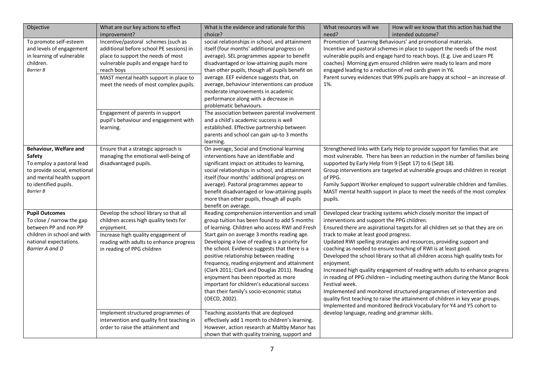| Objective                                                                                                                                                               | What are our key actions to effect<br>improvement?                                                                                                                                                                                                                                                                                                        | What is the evidence and rationale for this<br>choice?                                                                                                                                                                                                                                                                                                                                                                                                                                                                                                                                                                                | What resources will we<br>need?                                                                                                                                                                                                                                                                                                                                                                                                                | How will we know that this action has had the<br>intended outcome?                                                                                                                                                                                                                                                                                                                                                                                                                                                                                                                                                                                                                                                                                                                    |  |
|-------------------------------------------------------------------------------------------------------------------------------------------------------------------------|-----------------------------------------------------------------------------------------------------------------------------------------------------------------------------------------------------------------------------------------------------------------------------------------------------------------------------------------------------------|---------------------------------------------------------------------------------------------------------------------------------------------------------------------------------------------------------------------------------------------------------------------------------------------------------------------------------------------------------------------------------------------------------------------------------------------------------------------------------------------------------------------------------------------------------------------------------------------------------------------------------------|------------------------------------------------------------------------------------------------------------------------------------------------------------------------------------------------------------------------------------------------------------------------------------------------------------------------------------------------------------------------------------------------------------------------------------------------|---------------------------------------------------------------------------------------------------------------------------------------------------------------------------------------------------------------------------------------------------------------------------------------------------------------------------------------------------------------------------------------------------------------------------------------------------------------------------------------------------------------------------------------------------------------------------------------------------------------------------------------------------------------------------------------------------------------------------------------------------------------------------------------|--|
| To promote self-esteem<br>and levels of engagement<br>in learning of vulnerable<br>children.<br><b>Barrier B</b>                                                        | Incentive/pastoral schemes (such as<br>additional before school PE sessions) in<br>place to support the needs of most<br>vulnerable pupils and engage hard to<br>reach boys<br>MAST mental health support in place to<br>meet the needs of most complex pupils.<br>Engagement of parents in support<br>pupil's behaviour and engagement with<br>learning. | social relationships in school, and attainment<br>itself (four months' additional progress on<br>average). SEL programmes appear to benefit<br>disadvantaged or low-attaining pupils more<br>than other pupils, though all pupils benefit on<br>average. EEF evidence suggests that, on<br>average, behaviour interventions can produce<br>moderate improvements in academic<br>performance along with a decrease in<br>problematic behaviours.<br>The association between parental involvement<br>and a child's academic success is well<br>established. Effective partnership between<br>parents and school can gain up-to 3 months | Promotion of 'Learning Behaviours' and promotional materials.<br>Incentive and pastoral schemes in place to support the needs of the most<br>vulnerable pupils and engage hard to reach boys. (E.g. Live and Learn PE<br>coaches) Morning gym ensured children were ready to learn and more<br>engaged leading to a reduction of red cards given in Y6.<br>Parent survey evidences that 99% pupils are happy at school - an increase of<br>1%. |                                                                                                                                                                                                                                                                                                                                                                                                                                                                                                                                                                                                                                                                                                                                                                                       |  |
| Behaviour, Welfare and<br>Safety<br>To employ a pastoral lead<br>to provide social, emotional<br>and mental health support<br>to identified pupils.<br><b>Barrier B</b> | Ensure that a strategic approach is<br>managing the emotional well-being of<br>disadvantaged pupils.                                                                                                                                                                                                                                                      | learning.<br>On average, Social and Emotional learning<br>interventions have an identifiable and<br>significant impact on attitudes to learning,<br>social relationships in school, and attainment<br>itself (four months' additional progress on<br>average). Pastoral programmes appear to<br>benefit disadvantaged or low-attaining pupils<br>more than other pupils, though all pupils<br>benefit on average.                                                                                                                                                                                                                     | of PPG.<br>pupils.                                                                                                                                                                                                                                                                                                                                                                                                                             | Strengthened links with Early Help to provide support for families that are<br>most vulnerable. There has been an reduction in the number of families being<br>supported by Early Help from 9 (Sept 17) to 6 (Sept 18).<br>Group interventions are targeted at vulnerable groups and children in receipt<br>Family Support Worker employed to support vulnerable children and families.<br>MAST mental health support in place to meet the needs of the most complex                                                                                                                                                                                                                                                                                                                  |  |
| <b>Pupil Outcomes</b><br>To close / narrow the gap<br>between PP and non PP<br>children in school and with<br>national expectations.<br>Barrier A and D                 | Develop the school library so that all<br>children access high quality texts for<br>enjoyment.<br>Increase high quality engagement of<br>reading with adults to enhance progress<br>in reading of PPG children                                                                                                                                            | Reading comprehension intervention and small<br>group tuition has been found to add 5 months<br>of learning. Children who access RWI and Fresh<br>Start gain on average 3 months reading age.<br>Developing a love of reading is a priority for<br>the school. Evidence suggests that there is a<br>positive relationship between reading<br>frequency, reading enjoyment and attainment<br>(Clark 2011; Clark and Douglas 2011). Reading<br>enjoyment has been reported as more<br>important for children's educational success<br>than their family's socio-economic status<br>(OECD, 2002).                                        | interventions and support the PPG children.<br>track to make at least good progress.<br>enjoyment.<br>Festival week.                                                                                                                                                                                                                                                                                                                           | Developed clear tracking systems which closely monitor the impact of<br>Ensured there are aspirational targets for all children set so that they are on<br>Updated RWI spelling strategies and resources, providing support and<br>coaching as needed to ensure teaching of RWI is at least good.<br>Developed the school library so that all children access high quality texts for<br>Increased high quality engagement of reading with adults to enhance progress<br>in reading of PPG children - including meeting authors during the Manor Book<br>Implemented and monitored structured programmes of intervention and<br>quality first teaching to raise the attainment of children in key year groups.<br>Implemented and monitored Bedrock Vocabulary for Y4 and Y5 cohort to |  |
|                                                                                                                                                                         | Implement structured programmes of<br>intervention and quality first teaching in<br>order to raise the attainment and                                                                                                                                                                                                                                     | Teaching assistants that are deployed<br>effectively add 1 month to children's learning.<br>However, action research at Maltby Manor has<br>shown that with quality training, support and                                                                                                                                                                                                                                                                                                                                                                                                                                             | develop language, reading and grammar skills.                                                                                                                                                                                                                                                                                                                                                                                                  |                                                                                                                                                                                                                                                                                                                                                                                                                                                                                                                                                                                                                                                                                                                                                                                       |  |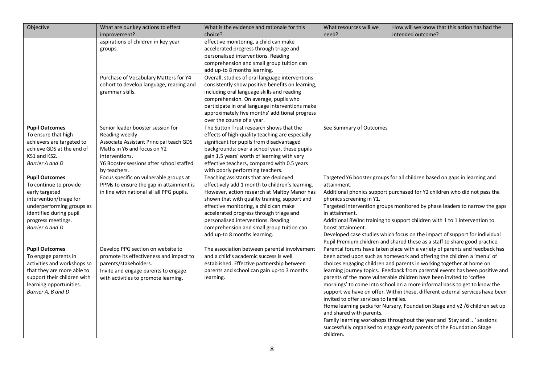| Objective                                                                                                                                                                                     | What are our key actions to effect<br>improvement?                                                                                                                                                          | What is the evidence and rationale for this<br>choice?                                                                                                                                                                                                                                                                                                                                                                                                                                                                                 | What resources will we<br>How will we know that this action has had the<br>need?<br>intended outcome? |                                                                                                                                                                                                                                                                                                                                                                                                                                                                                                                                                                                                                                                                                                                                                                                         |
|-----------------------------------------------------------------------------------------------------------------------------------------------------------------------------------------------|-------------------------------------------------------------------------------------------------------------------------------------------------------------------------------------------------------------|----------------------------------------------------------------------------------------------------------------------------------------------------------------------------------------------------------------------------------------------------------------------------------------------------------------------------------------------------------------------------------------------------------------------------------------------------------------------------------------------------------------------------------------|-------------------------------------------------------------------------------------------------------|-----------------------------------------------------------------------------------------------------------------------------------------------------------------------------------------------------------------------------------------------------------------------------------------------------------------------------------------------------------------------------------------------------------------------------------------------------------------------------------------------------------------------------------------------------------------------------------------------------------------------------------------------------------------------------------------------------------------------------------------------------------------------------------------|
|                                                                                                                                                                                               | aspirations of children in key year<br>groups.<br>Purchase of Vocabulary Matters for Y4<br>cohort to develop language, reading and<br>grammar skills.                                                       | effective monitoring, a child can make<br>accelerated progress through triage and<br>personalised interventions. Reading<br>comprehension and small group tuition can<br>add up-to 8 months learning.<br>Overall, studies of oral language interventions<br>consistently show positive benefits on learning,<br>including oral language skills and reading<br>comprehension. On average, pupils who<br>participate in oral language interventions make<br>approximately five months' additional progress<br>over the course of a year. |                                                                                                       |                                                                                                                                                                                                                                                                                                                                                                                                                                                                                                                                                                                                                                                                                                                                                                                         |
| <b>Pupil Outcomes</b><br>To ensure that high<br>achievers are targeted to<br>achieve GDS at the end of<br>KS1 and KS2.<br><b>Barrier A and D</b>                                              | Senior leader booster session for<br>Reading weekly<br>Associate Assistant Principal teach GDS<br>Maths in Y6 and focus on Y2<br>interventions.<br>Y6 Booster sessions after school staffed<br>by teachers. | The Sutton Trust research shows that the<br>effects of high-quality teaching are especially<br>significant for pupils from disadvantaged<br>backgrounds: over a school year, these pupils<br>gain 1.5 years' worth of learning with very<br>effective teachers, compared with 0.5 years<br>with poorly performing teachers.                                                                                                                                                                                                            | See Summary of Outcomes                                                                               |                                                                                                                                                                                                                                                                                                                                                                                                                                                                                                                                                                                                                                                                                                                                                                                         |
| <b>Pupil Outcomes</b><br>To continue to provide<br>early targeted<br>intervention/triage for<br>underperforming groups as<br>identified during pupil<br>progress meetings.<br>Barrier A and D | Focus specific on vulnerable groups at<br>PPMs to ensure the gap in attainment is<br>in line with national all all PPG pupils.                                                                              | Teaching assistants that are deployed<br>effectively add 1 month to children's learning.<br>However, action research at Maltby Manor has<br>shown that with quality training, support and<br>effective monitoring, a child can make<br>accelerated progress through triage and<br>personalised interventions. Reading<br>comprehension and small group tuition can<br>add up-to 8 months learning.                                                                                                                                     | attainment.<br>phonics screening in Y1.<br>in attainment.<br>boost attainment.                        | Targeted Y6 booster groups for all children based on gaps in learning and<br>Additional phonics support purchased for Y2 children who did not pass the<br>Targeted intervention groups monitored by phase leaders to narrow the gaps<br>Additional RWInc training to support children with 1 to 1 intervention to<br>Developed case studies which focus on the impact of support for individual<br>Pupil Premium children and shared these as a staff to share good practice.                                                                                                                                                                                                                                                                                                           |
| <b>Pupil Outcomes</b><br>To engage parents in<br>activities and workshops so<br>that they are more able to<br>support their children with<br>learning opportunities.<br>Barrier A, B and D    | Develop PPG section on website to<br>promote its effectiveness and impact to<br>parents/stakeholders.<br>Invite and engage parents to engage<br>with activities to promote learning.                        | The association between parental involvement<br>and a child's academic success is well<br>established. Effective partnership between<br>parents and school can gain up-to 3 months<br>learning.                                                                                                                                                                                                                                                                                                                                        | invited to offer services to families.<br>and shared with parents.<br>children.                       | Parental forums have taken place with a variety of parents and feedback has<br>been acted upon such as homework and offering the children a 'menu' of<br>choices engaging children and parents in working together at home on<br>learning journey topics. Feedback from parental events has been positive and<br>parents of the more vulnerable children have been invited to 'coffee<br>mornings' to come into school on a more informal basis to get to know the<br>support we have on offer. Within these, different external services have been<br>Home learning packs for Nursery, Foundation Stage and y2 /6 children set up<br>Family learning workshops throughout the year and 'Stay and  ' sessions<br>successfully organised to engage early parents of the Foundation Stage |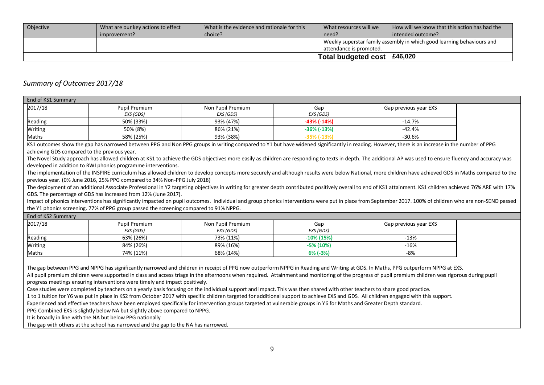| Objective | What are our key actions to effect | What is the evidence and rationale for this | How will we know that this action has had the<br>What resources will we |                   |  |
|-----------|------------------------------------|---------------------------------------------|-------------------------------------------------------------------------|-------------------|--|
|           | improvement?                       | choice?                                     | need?                                                                   | intended outcome? |  |
|           |                                    |                                             | Weekly superstar family assembly in which good learning behaviours and  |                   |  |
|           |                                    |                                             | attendance is promoted.                                                 |                   |  |
|           |                                    |                                             | Total budgeted cost $\vert$ £46,020                                     |                   |  |

### *Summary of Outcomes 2017/18*

| End of KS1 Summary                           |                                                                                       |                   |                                                                                                                                                                                                                |                       |  |
|----------------------------------------------|---------------------------------------------------------------------------------------|-------------------|----------------------------------------------------------------------------------------------------------------------------------------------------------------------------------------------------------------|-----------------------|--|
| 2017/18                                      | <b>Pupil Premium</b>                                                                  | Non Pupil Premium | Gap                                                                                                                                                                                                            | Gap previous year EXS |  |
|                                              | EXS (GDS)                                                                             | EXS (GDS)         | EXS (GDS)                                                                                                                                                                                                      |                       |  |
| Reading                                      | 50% (33%)                                                                             | 93% (47%)         | $-43% (-14%)$                                                                                                                                                                                                  | $-14.7%$              |  |
| Writing                                      | 50% (8%)                                                                              | 86% (21%)         | $-36\%$ $(-13\%)$                                                                                                                                                                                              | $-42.4%$              |  |
| Maths                                        | 58% (25%)                                                                             | 93% (38%)         | $-35\%$ ( $-13\%$ )                                                                                                                                                                                            | $-30.6%$              |  |
|                                              |                                                                                       |                   | KS1 outcomes show the gap has narrowed between PPG and Non PPG groups in writing compared to Y1 but have widened significantly in reading. However, there is an increase in the number of PPG                  |                       |  |
| achieving GDS compared to the previous year. |                                                                                       |                   |                                                                                                                                                                                                                |                       |  |
|                                              |                                                                                       |                   | The Novel Study approach has allowed children at KS1 to achieve the GDS objectives more easily as children are responding to texts in depth. The additional AP was used to ensure fluency and accuracy was     |                       |  |
|                                              | developed in addition to RWI phonics programme interventions.                         |                   |                                                                                                                                                                                                                |                       |  |
|                                              |                                                                                       |                   | The implementation of the INSPIRE curriculum has allowed children to develop concepts more securely and although results were below National, more children have achieved GDS in Maths compared to the         |                       |  |
|                                              | previous year. (0% June 2016, 25% PPG compared to 34% Non-PPG July 2018)              |                   |                                                                                                                                                                                                                |                       |  |
|                                              |                                                                                       |                   | The deployment of an additional Associate Professional in Y2 targeting objectives in writing for greater depth contributed positively overall to end of KS1 attainment. KS1 children achieved 76% ARE with 17% |                       |  |
|                                              | GDS. The percentage of GDS has increased from 12% (June 2017).                        |                   |                                                                                                                                                                                                                |                       |  |
|                                              |                                                                                       |                   | Impact of phonics interventions has significantly impacted on pupil outcomes. Individual and group phonics interventions were put in place from September 2017. 100% of children who are non-SEND passed       |                       |  |
|                                              | the Y1 phonics screening. 77% of PPG group passed the screening compared to 91% NPPG. |                   |                                                                                                                                                                                                                |                       |  |
| End of KS2 Summary                           |                                                                                       |                   |                                                                                                                                                                                                                |                       |  |
| 2017/18                                      | <b>Pupil Premium</b>                                                                  | Non Pupil Premium | Gap                                                                                                                                                                                                            | Gap previous year EXS |  |
|                                              | EXS (GDS)                                                                             | EXS (GDS)         | EXS (GDS)                                                                                                                                                                                                      |                       |  |
| Reading                                      | 63% (26%)                                                                             | 73% (11%)         | $-10\%$ (15%)                                                                                                                                                                                                  | $-13%$                |  |
| Writing                                      | 84% (26%)                                                                             | 89% (16%)         | $-5\%$ (10%)                                                                                                                                                                                                   | $-16%$                |  |
| Maths                                        | 74% (11%)                                                                             | 68% (14%)         | 6% (-3%)                                                                                                                                                                                                       | $-8%$                 |  |
|                                              |                                                                                       |                   |                                                                                                                                                                                                                |                       |  |
|                                              |                                                                                       |                   | The gap between PPG and NPPG has significantly narrowed and children in receipt of PPG now outperform NPPG in Reading and Writing at GDS. In Maths, PPG outperform NPPG at EXS.                                |                       |  |
|                                              |                                                                                       |                   | All pupil premium children were supported in class and access triage in the afternoons when required. Attainment and monitoring of the progress of pupil premium children was rigorous during pupil            |                       |  |
|                                              | progress meetings ensuring interventions were timely and impact positively.           |                   |                                                                                                                                                                                                                |                       |  |
|                                              |                                                                                       |                   | Case studies were completed by teachers on a yearly basis focusing on the individual support and impact. This was then shared with other teachers to share good practice.                                      |                       |  |
|                                              |                                                                                       |                   | 1 to 1 tuition for Y6 was put in place in KS2 from October 2017 with specific children targeted for additional support to achieve EXS and GDS. All children engaged with this support.                         |                       |  |
|                                              |                                                                                       |                   | Experienced and effective teachers have been employed specifically for intervention groups targeted at vulnerable groups in Y6 for Maths and Greater Depth standard.                                           |                       |  |
|                                              | PPG Combined EXS is slightly below NA but slightly above compared to NPPG.            |                   |                                                                                                                                                                                                                |                       |  |
|                                              | It is broadly in line with the NA but below PPG nationally                            |                   |                                                                                                                                                                                                                |                       |  |
|                                              | The gap with others at the school has narrowed and the gap to the NA has narrowed.    |                   |                                                                                                                                                                                                                |                       |  |